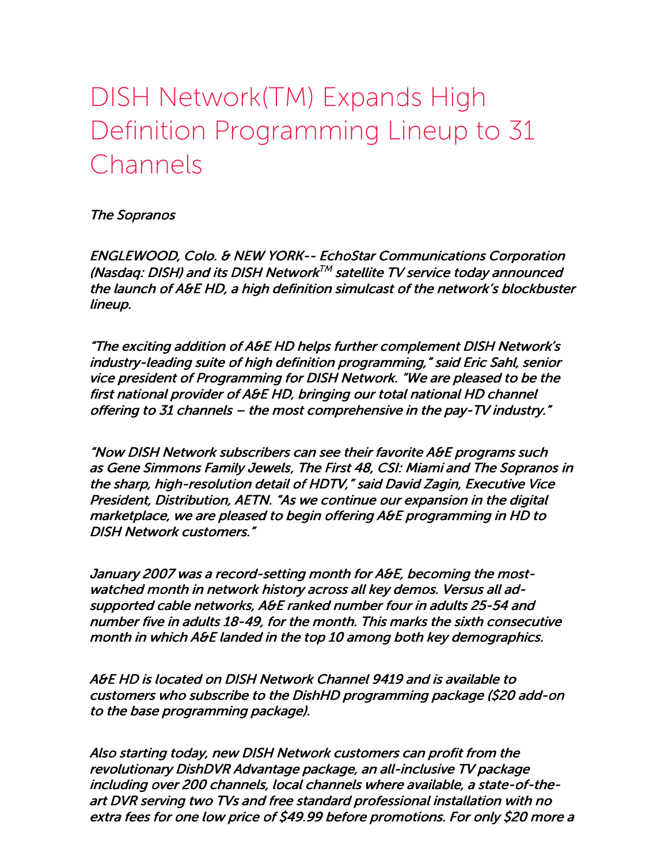## DISH Network(TM) Expands High Definition Programming Lineup to 31 Channels

The Sopranos

ENGLEWOOD, Colo. & NEW YORK-- EchoStar Communications Corporation (Nasdaq: DISH) and its DISH Network TM satellite TV service today announced the launch of A&E HD, <sup>a</sup> high definition simulcast of the network's blockbuster lineup.

"The exciting addition of A&E HD helps further complement DISH Network's industry-leading suite of high definition programming," said Eric Sahl, senior vice president of Programming for DISH Network. "We are pleased to be the first national provider of A&E HD, bringing our total national HD channel offering to 31 channels – the most comprehensive in the pay-TV industry."

"Now DISH Network subscribers can see their favorite A&E programs such as Gene Simmons Family Jewels, The First 48, CSI: Miami and The Sopranos in the sharp, high-resolution detail of HDTV," said David Zagin, Executive Vice President, Distribution, AETN. "As we continue our expansion in the digital marketplace, we are pleased to begin offering A&E programming in HD to DISH Network customers."

January 2007 was <sup>a</sup> record-setting month for A&E, becoming the mostwatched month in network history across all key demos. Versus all adsupported cable networks, A&E ranked number four in adults 25-54 and number five in adults 18-49, for the month. This marks the sixth consecutive month in which A&E landed in the top 10 among both key demographics.

A&E HD is located on DISH Network Channel 9419 and is available to customers who subscribe to the DishHD programming package (\$20 add-on to the base programming package).

Also starting today, new DISH Network customers can profit from the revolutionary DishDVR Advantage package, an all-inclusive TV package including over 200 channels, local channels where available, <sup>a</sup> state-of-theart DVR serving two TVs and free standard professional installation with no extra fees for one low price of \$49.99 before promotions. For only \$20 more <sup>a</sup>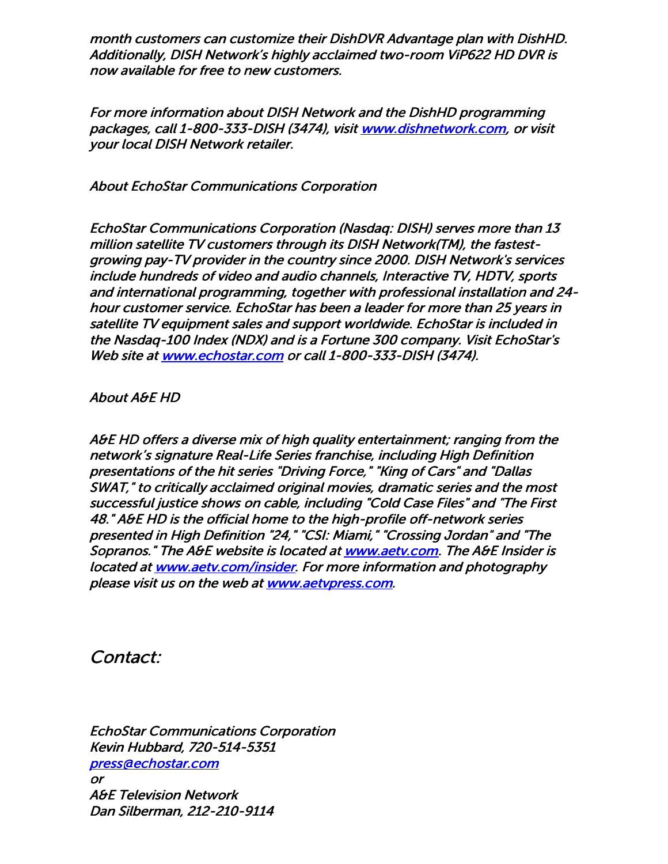month customers can customize their DishDVR Advantage plan with DishHD. Additionally, DISH Network's highly acclaimed two-room ViP622 HD DVR is now available for free to new customers.

For more information about DISH Network and the DishHD programming packages, call 1-800-333-DISH (3474), visit [www.dishnetwork.com](http://www.dishnetwork.com/), or visit your local DISH Network retailer.

About EchoStar Communications Corporation

EchoStar Communications Corporation (Nasdaq: DISH) serves more than 13 million satellite TV customers through its DISH Network(TM), the fastestgrowing pay-TV provider in the country since 2000. DISH Network's services include hundreds of video and audio channels, Interactive TV, HDTV, sports and international programming, together with professional installation and 24 hour customer service. EchoStar has been <sup>a</sup> leader for more than 25 years in satellite TV equipment sales and support worldwide. EchoStar is included in the Nasdaq-100 Index (NDX) and is <sup>a</sup> Fortune 300 company. Visit EchoStar's Web site at [www.echostar.com](http://www.echostar.com/) or call 1-800-333-DISH (3474).

About A&E HD

A&E HD offers <sup>a</sup> diverse mix of high quality entertainment; ranging from the network's signature Real-Life Series franchise, including High Definition presentations of the hit series "Driving Force," "King of Cars" and "Dallas SWAT," to critically acclaimed original movies, dramatic series and the most successful justice shows on cable, including "Cold Case Files" and "The First 48." A&E HD is the official home to the high-profile off-network series presented in High Definition "24," "CSI: Miami," "Crossing Jordan" and "The Sopranos." The A&E website is located at **[www.aetv.com](http://www.aetv.com/).** The A&E Insider is located at [www.aetv.com/insider](http://www.aetv.com/insider). For more information and photography please visit us on the web at [www.aetvpress.com](http://www.aetvpress.com/).

Contact:

EchoStar Communications Corporation Kevin Hubbard, 720-514-5351 [press@echostar.com](mailto:press@echostar.com) or A&E Television Network Dan Silberman, 212-210-9114